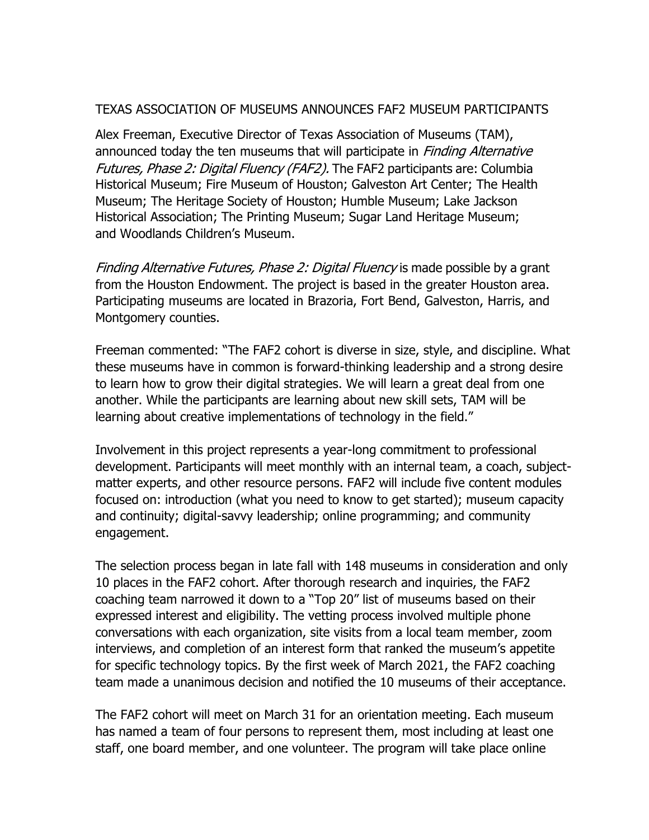## TEXAS ASSOCIATION OF MUSEUMS ANNOUNCES FAF2 MUSEUM PARTICIPANTS

Alex Freeman, Executive Director of Texas Association of Museums (TAM), announced today the ten museums that will participate in *Finding Alternative* Futures, Phase 2: Digital Fluency (FAF2). The FAF2 participants are: Columbia Historical Museum; Fire Museum of Houston; Galveston Art Center; The Health Museum; The Heritage Society of Houston; Humble Museum; Lake Jackson Historical Association; The Printing Museum; Sugar Land Heritage Museum; and Woodlands Children's Museum.

Finding Alternative Futures, Phase 2: Digital Fluency is made possible by a grant from the Houston Endowment. The project is based in the greater Houston area. Participating museums are located in Brazoria, Fort Bend, Galveston, Harris, and Montgomery counties.

Freeman commented: "The FAF2 cohort is diverse in size, style, and discipline. What these museums have in common is forward-thinking leadership and a strong desire to learn how to grow their digital strategies. We will learn a great deal from one another. While the participants are learning about new skill sets, TAM will be learning about creative implementations of technology in the field."

Involvement in this project represents a year-long commitment to professional development. Participants will meet monthly with an internal team, a coach, subjectmatter experts, and other resource persons. FAF2 will include five content modules focused on: introduction (what you need to know to get started); museum capacity and continuity; digital-savvy leadership; online programming; and community engagement.

The selection process began in late fall with 148 museums in consideration and only 10 places in the FAF2 cohort. After thorough research and inquiries, the FAF2 coaching team narrowed it down to a "Top 20" list of museums based on their expressed interest and eligibility. The vetting process involved multiple phone conversations with each organization, site visits from a local team member, zoom interviews, and completion of an interest form that ranked the museum's appetite for specific technology topics. By the first week of March 2021, the FAF2 coaching team made a unanimous decision and notified the 10 museums of their acceptance.

The FAF2 cohort will meet on March 31 for an orientation meeting. Each museum has named a team of four persons to represent them, most including at least one staff, one board member, and one volunteer. The program will take place online